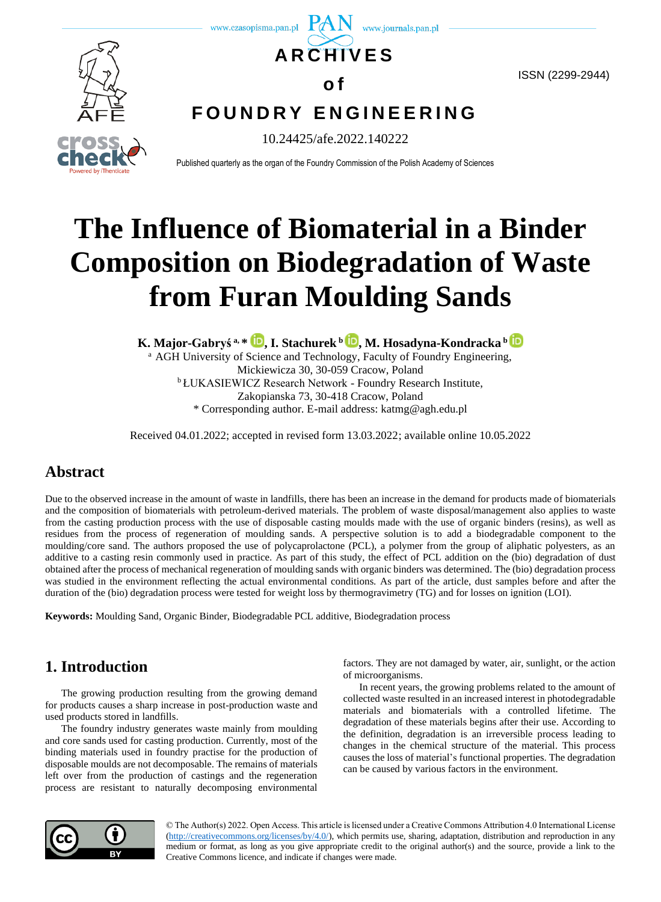

ISSN (2299-2944)



**F O U N D R Y E N G I N E E R I N G**

10.24425/afe.2022.140222

Published quarterly as the organ of the Foundry Commission of the Polish Academy of Sciences

# **The Influence of Biomaterial in a Binder Composition on Biodegradation of Waste from Furan Moulding Sands**

**K. Major-Gabryś a, \* [,](https://orcid.org/0000-0003-1956-9734) I. Stachurek <sup>b</sup> [,](https://orcid.org/0000-0002-4788-9455) M. Hosadyna-Kondracka <sup>b</sup>**

<sup>a</sup> AGH University of Science and Technology, Faculty of Foundry Engineering, Mickiewicza 30, 30-059 Cracow, Poland <sup>b</sup> ŁUKASIEWICZ Research Network - Foundry Research Institute, Zakopianska 73, 30-418 Cracow, Poland \* Corresponding author. E-mail address: katmg@agh.edu.pl

Received 04.01.2022; accepted in revised form 13.03.2022; available online 10.05.2022

# **Abstract**

Due to the observed increase in the amount of waste in landfills, there has been an increase in the demand for products made of biomaterials and the composition of biomaterials with petroleum-derived materials. The problem of waste disposal/management also applies to waste from the casting production process with the use of disposable casting moulds made with the use of organic binders (resins), as well as residues from the process of regeneration of moulding sands. A perspective solution is to add a biodegradable component to the moulding/core sand. The authors proposed the use of polycaprolactone (PCL), a polymer from the group of aliphatic polyesters, as an additive to a casting resin commonly used in practice. As part of this study, the effect of PCL addition on the (bio) degradation of dust obtained after the process of mechanical regeneration of moulding sands with organic binders was determined. The (bio) degradation process was studied in the environment reflecting the actual environmental conditions. As part of the article, dust samples before and after the duration of the (bio) degradation process were tested for weight loss by thermogravimetry (TG) and for losses on ignition (LOI).

**Keywords:** Moulding Sand, Organic Binder, Biodegradable PCL additive, Biodegradation process

# **1. Introduction**

The growing production resulting from the growing demand for products causes a sharp increase in post-production waste and used products stored in landfills.

The foundry industry generates waste mainly from moulding and core sands used for casting production. Currently, most of the binding materials used in foundry practise for the production of disposable moulds are not decomposable. The remains of materials left over from the production of castings and the regeneration process are resistant to naturally decomposing environmental

factors. They are not damaged by water, air, sunlight, or the action of microorganisms.

In recent years, the growing problems related to the amount of collected waste resulted in an increased interest in photodegradable materials and biomaterials with a controlled lifetime. The degradation of these materials begins after their use. According to the definition, degradation is an irreversible process leading to changes in the chemical structure of the material. This process causes the loss of material's functional properties. The degradation can be caused by various factors in the environment.



© The Author(s) 2022. Open Access. This article is licensed under a Creative Commons Attribution 4.0 International License [\(http://creativecommons.org/licenses/by/4.0/\)](http://creativecommons.org/licenses/by/4.0/), which permits use, sharing, adaptation, distribution and reproduction in any medium or format, as long as you give appropriate credit to the original author(s) and the source, provide a link to the Creative Commons licence, and indicate if changes were made.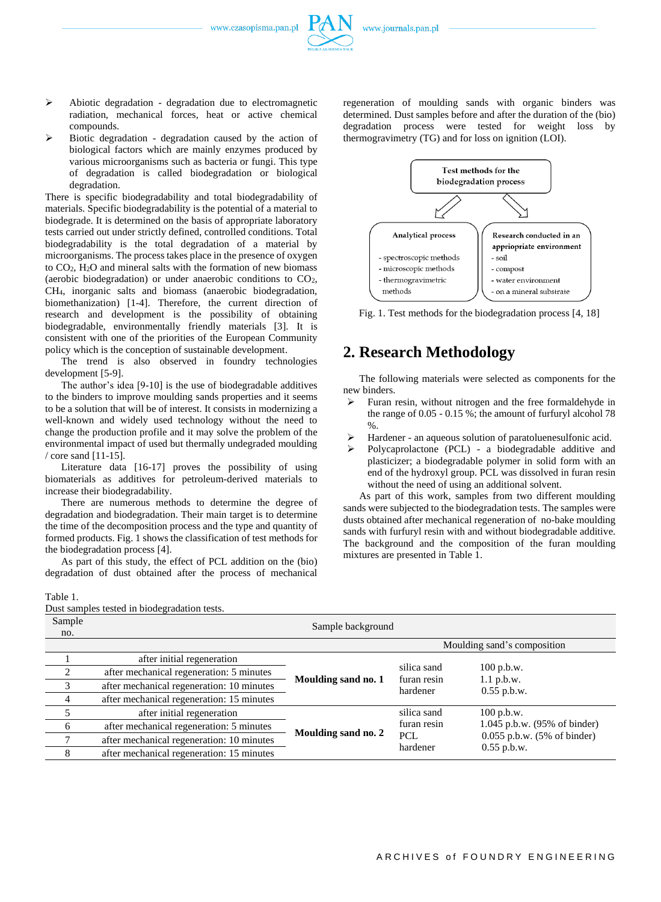- ➢ Abiotic degradation degradation due to electromagnetic radiation, mechanical forces, heat or active chemical compounds.
- ➢ Biotic degradation degradation caused by the action of biological factors which are mainly enzymes produced by various microorganisms such as bacteria or fungi. This type of degradation is called biodegradation or biological degradation.

There is specific biodegradability and total biodegradability of materials. Specific biodegradability is the potential of a material to biodegrade. It is determined on the basis of appropriate laboratory tests carried out under strictly defined, controlled conditions. Total biodegradability is the total degradation of a material by microorganisms. The process takes place in the presence of oxygen to CO2, H2O and mineral salts with the formation of new biomass (aerobic biodegradation) or under anaerobic conditions to CO2, CH4, inorganic salts and biomass (anaerobic biodegradation, biomethanization) [1-4]. Therefore, the current direction of research and development is the possibility of obtaining biodegradable, environmentally friendly materials [3]. It is consistent with one of the priorities of the European Community policy which is the conception of sustainable development.

The trend is also observed in foundry technologies development [5-9].

The author's idea [9-10] is the use of biodegradable additives to the binders to improve moulding sands properties and it seems to be a solution that will be of interest. It consists in modernizing a well-known and widely used technology without the need to change the production profile and it may solve the problem of the environmental impact of used but thermally undegraded moulding / core sand [11-15].

Literature data [16-17] proves the possibility of using biomaterials as additives for petroleum-derived materials to increase their biodegradability.

There are numerous methods to determine the degree of degradation and biodegradation. Their main target is to determine the time of the decomposition process and the type and quantity of formed products. Fig. 1 shows the classification of test methods for the biodegradation process [4].

As part of this study, the effect of PCL addition on the (bio) degradation of dust obtained after the process of mechanical regeneration of moulding sands with organic binders was determined. Dust samples before and after the duration of the (bio) degradation process were tested for weight loss by thermogravimetry (TG) and for loss on ignition (LOI).



Fig. 1. Test methods for the biodegradation process [4, 18]

## **2. Research Methodology**

The following materials were selected as components for the new binders.

- ➢ Furan resin, without nitrogen and the free formaldehyde in the range of 0.05 - 0.15 %; the amount of furfuryl alcohol 78  $\%$ .
- Hardener an aqueous solution of paratoluenesulfonic acid.
- ➢ Polycaprolactone (PCL) a biodegradable additive and plasticizer; a biodegradable polymer in solid form with an end of the hydroxyl group. PCL was dissolved in furan resin without the need of using an additional solvent.

As part of this work, samples from two different moulding sands were subjected to the biodegradation tests. The samples were dusts obtained after mechanical regeneration of no-bake moulding sands with furfuryl resin with and without biodegradable additive. The background and the composition of the furan moulding mixtures are presented in Table 1.

#### Table 1.

Dust samples tested in biodegradation tests.

| Sample<br>no.  | Sample background                         |                     |                                        |                                                           |  |
|----------------|-------------------------------------------|---------------------|----------------------------------------|-----------------------------------------------------------|--|
|                |                                           |                     |                                        | Moulding sand's composition                               |  |
|                | after initial regeneration                | Moulding sand no. 1 | silica sand<br>furan resin<br>hardener | $100$ p.b.w.<br>$1.1$ p.b.w.<br>$0.55$ p.b.w.             |  |
| $\mathfrak{D}$ | after mechanical regeneration: 5 minutes  |                     |                                        |                                                           |  |
|                | after mechanical regeneration: 10 minutes |                     |                                        |                                                           |  |
|                | after mechanical regeneration: 15 minutes |                     |                                        |                                                           |  |
|                | after initial regeneration                | Moulding sand no. 2 | silica sand                            | $100$ p.b.w.                                              |  |
|                | after mechanical regeneration: 5 minutes  |                     | furan resin                            | 1.045 p.b.w. (95% of binder)                              |  |
|                | after mechanical regeneration: 10 minutes |                     | <b>PCL</b><br>hardener                 | $0.055$ p.b.w. $(5\% \text{ of binder})$<br>$0.55$ p.b.w. |  |
|                | after mechanical regeneration: 15 minutes |                     |                                        |                                                           |  |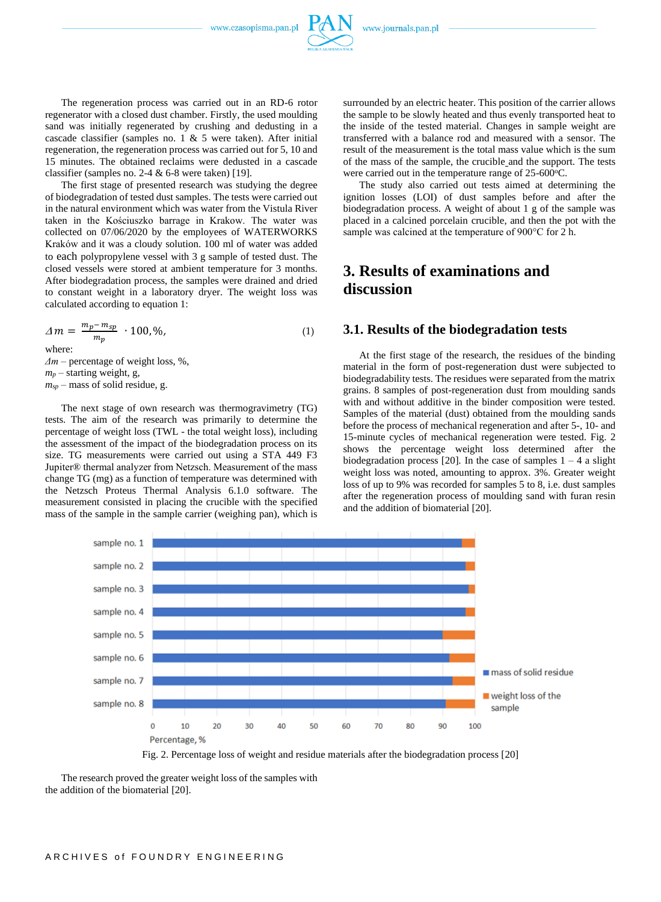

regeneration, the regeneration process was carried out for 5, 10 and 15 minutes. The obtained reclaims were dedusted in a cascade classifier (samples no. 2-4 & 6-8 were taken) [19].

The first stage of presented research was studying the degree of biodegradation of tested dust samples. The tests were carried out in the natural environment which was water from the Vistula River taken in the Kościuszko barrage in Krakow. The water was collected on 07/06/2020 by the employees of WATERWORKS Kraków and it was a cloudy solution. 100 ml of water was added to each polypropylene vessel with 3 g sample of tested dust. The closed vessels were stored at ambient temperature for 3 months. After biodegradation process, the samples were drained and dried to constant weight in a laboratory dryer. The weight loss was calculated according to equation 1:

$$
\Delta m = \frac{m_p - m_{sp}}{m_p} \cdot 100, \% \tag{1}
$$

where:

*Δm* – percentage of weight loss, %,  $m_p$  – starting weight, g, *msp* – mass of solid residue, g.

The next stage of own research was thermogravimetry (TG) tests. The aim of the research was primarily to determine the percentage of weight loss (TWL - the total weight loss), including the assessment of the impact of the biodegradation process on its size. TG measurements were carried out using a STA 449 F3 Jupiter® thermal analyzer from Netzsch. Measurement of the mass change TG (mg) as a function of temperature was determined with the Netzsch Proteus Thermal Analysis 6.1.0 software. The measurement consisted in placing the crucible with the specified mass of the sample in the sample carrier (weighing pan), which is surrounded by an electric heater. This position of the carrier allows the sample to be slowly heated and thus evenly transported heat to the inside of the tested material. Changes in sample weight are transferred with a balance rod and measured with a sensor. The result of the measurement is the total mass value which is the sum of the mass of the sample, the crucible and the support. The tests were carried out in the temperature range of 25-600°C.

The study also carried out tests aimed at determining the ignition losses (LOI) of dust samples before and after the biodegradation process. A weight of about 1 g of the sample was placed in a calcined porcelain crucible, and then the pot with the sample was calcined at the temperature of 900°C for 2 h.

# **3. Results of examinations and discussion**

#### **3.1. Results of the biodegradation tests**

At the first stage of the research, the residues of the binding material in the form of post-regeneration dust were subjected to biodegradability tests. The residues were separated from the matrix grains. 8 samples of post-regeneration dust from moulding sands with and without additive in the binder composition were tested. Samples of the material (dust) obtained from the moulding sands before the process of mechanical regeneration and after 5-, 10- and 15-minute cycles of mechanical regeneration were tested. Fig. 2 shows the percentage weight loss determined after the biodegradation process [20]. In the case of samples  $1 - 4$  a slight weight loss was noted, amounting to approx. 3%. Greater weight loss of up to 9% was recorded for samples 5 to 8, i.e. dust samples after the regeneration process of moulding sand with furan resin and the addition of biomaterial [20].



Fig. 2. Percentage loss of weight and residue materials after the biodegradation process [20]

The research proved the greater weight loss of the samples with the addition of the biomaterial [20].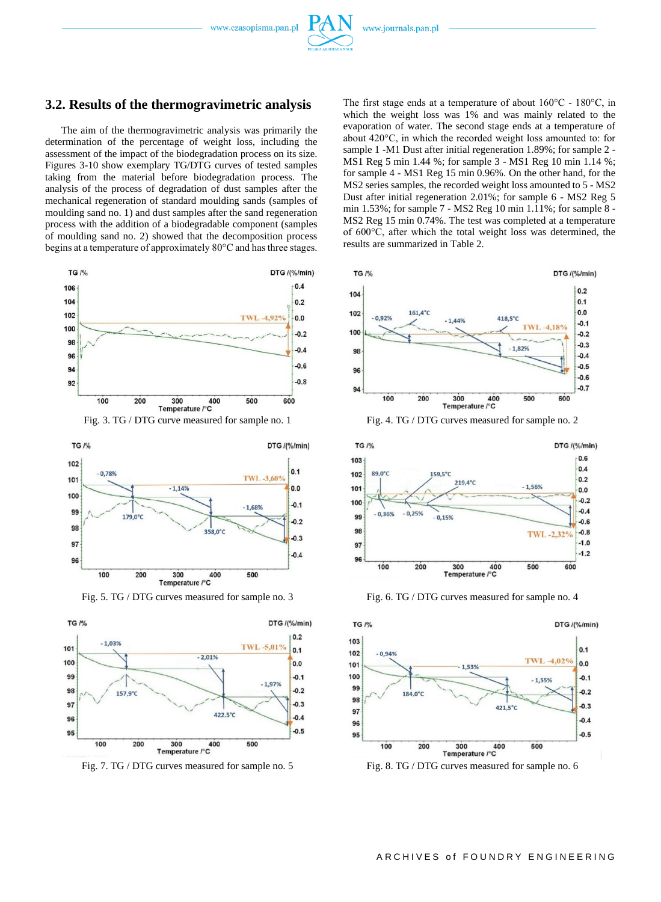

#### **3.2. Results of the thermogravimetric analysis**

The aim of the thermogravimetric analysis was primarily the determination of the percentage of weight loss, including the assessment of the impact of the biodegradation process on its size. Figures 3-10 show exemplary TG/DTG curves of tested samples taking from the material before biodegradation process. The analysis of the process of degradation of dust samples after the mechanical regeneration of standard moulding sands (samples of moulding sand no. 1) and dust samples after the sand regeneration process with the addition of a biodegradable component (samples of moulding sand no. 2) showed that the decomposition process begins at a temperature of approximately 80°C and has three stages.



Fig. 3. TG / DTG curve measured for sample no. 1 Fig. 4. TG / DTG curves measured for sample no. 2





Fig. 7. TG / DTG curves measured for sample no. 5 Fig. 8. TG / DTG curves measured for sample no. 6

The first stage ends at a temperature of about 160°C - 180°C, in which the weight loss was 1% and was mainly related to the evaporation of water. The second stage ends at a temperature of about 420°C, in which the recorded weight loss amounted to: for sample 1 -M1 Dust after initial regeneration 1.89%; for sample 2 - MS1 Reg 5 min 1.44 %; for sample 3 - MS1 Reg 10 min 1.14 %; for sample 4 - MS1 Reg 15 min 0.96%. On the other hand, for the MS2 series samples, the recorded weight loss amounted to 5 - MS2 Dust after initial regeneration 2.01%; for sample 6 - MS2 Reg 5 min 1.53%; for sample 7 - MS2 Reg 10 min 1.11%; for sample 8 - MS2 Reg 15 min 0.74%. The test was completed at a temperature of 600°C, after which the total weight loss was determined, the results are summarized in Table 2.





Fig. 5. TG / DTG curves measured for sample no. 3 Fig. 6. TG / DTG curves measured for sample no. 4



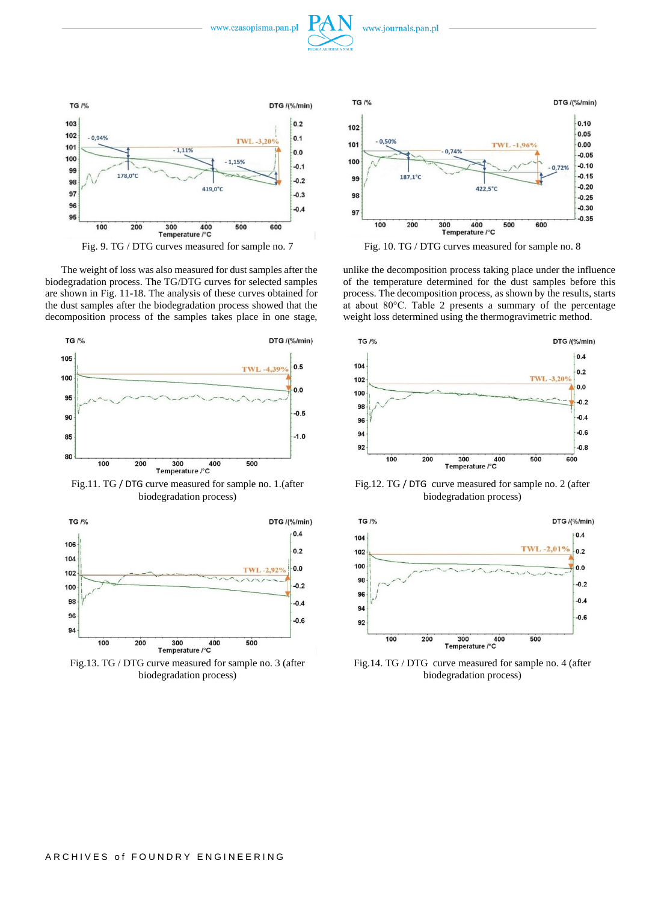



The weight of loss was also measured for dust samples after the biodegradation process. The TG/DTG curves for selected samples are shown in Fig. 11-18. The analysis of these curves obtained for the dust samples after the biodegradation process showed that the decomposition process of the samples takes place in one stage,



Fig.11. TG / DTG curve measured for sample no. 1.(after biodegradation process)



Fig.13. TG / DTG curve measured for sample no. 3 (after biodegradation process)



unlike the decomposition process taking place under the influence of the temperature determined for the dust samples before this process. The decomposition process, as shown by the results, starts at about 80°C. Table 2 presents a summary of the percentage weight loss determined using the thermogravimetric method.



Fig.12. TG / DTG curve measured for sample no. 2 (after biodegradation process)



Fig.14. TG / DTG curve measured for sample no. 4 (after biodegradation process)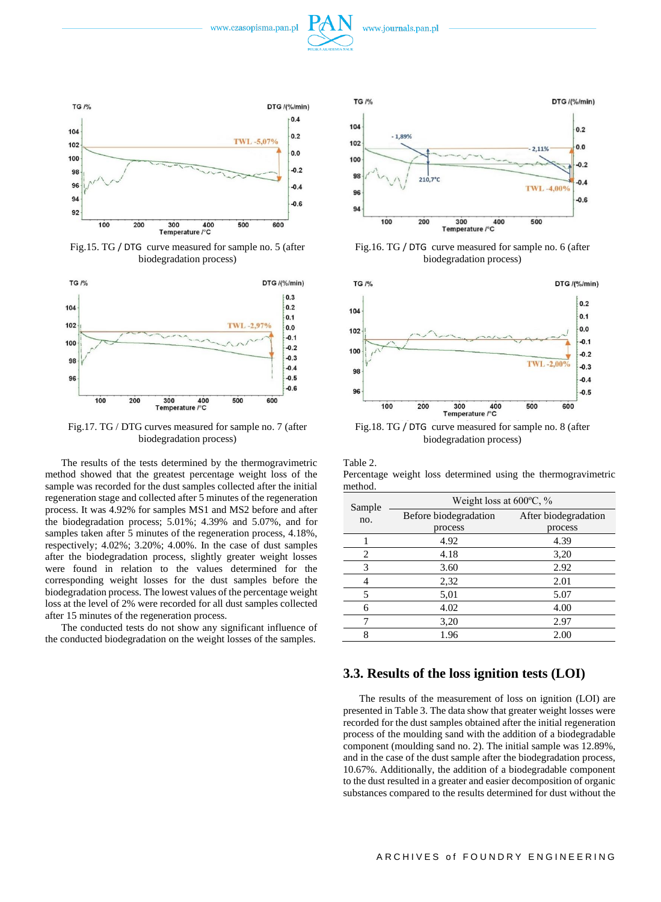



Fig.15. TG / DTG curve measured for sample no. 5 (after biodegradation process)



Fig.17. TG / DTG curves measured for sample no. 7 (after biodegradation process)

The results of the tests determined by the thermogravimetric method showed that the greatest percentage weight loss of the sample was recorded for the dust samples collected after the initial regeneration stage and collected after 5 minutes of the regeneration process. It was 4.92% for samples MS1 and MS2 before and after the biodegradation process; 5.01%; 4.39% and 5.07%, and for samples taken after 5 minutes of the regeneration process, 4.18%, respectively; 4.02%; 3.20%; 4.00%. In the case of dust samples after the biodegradation process, slightly greater weight losses were found in relation to the values determined for the corresponding weight losses for the dust samples before the biodegradation process. The lowest values of the percentage weight loss at the level of 2% were recorded for all dust samples collected after 15 minutes of the regeneration process.

The conducted tests do not show any significant influence of the conducted biodegradation on the weight losses of the samples.



Fig.16. TG / DTG curve measured for sample no. 6 (after biodegradation process)



Fig.18. TG / DTG curve measured for sample no. 8 (after biodegradation process)

Table 2.

Percentage weight loss determined using the thermogravimetric method.

| Sample | Weight loss at $600^{\circ}$ C, % |                      |  |
|--------|-----------------------------------|----------------------|--|
| no.    | Before biodegradation             | After biodegradation |  |
|        | process                           | process              |  |
|        | 4.92                              | 4.39                 |  |
| 2      | 4.18                              | 3,20                 |  |
| 3      | 3.60                              | 2.92                 |  |
| 4      | 2,32                              | 2.01                 |  |
| 5      | 5,01                              | 5.07                 |  |
| 6      | 4.02                              | 4.00                 |  |
|        | 3,20                              | 2.97                 |  |
|        | 1.96                              | 2.00                 |  |

#### **3.3. Results of the loss ignition tests (LOI)**

The results of the measurement of loss on ignition (LOI) are presented in Table 3. The data show that greater weight losses were recorded for the dust samples obtained after the initial regeneration process of the moulding sand with the addition of a biodegradable component (moulding sand no. 2). The initial sample was 12.89%, and in the case of the dust sample after the biodegradation process, 10.67%. Additionally, the addition of a biodegradable component to the dust resulted in a greater and easier decomposition of organic substances compared to the results determined for dust without the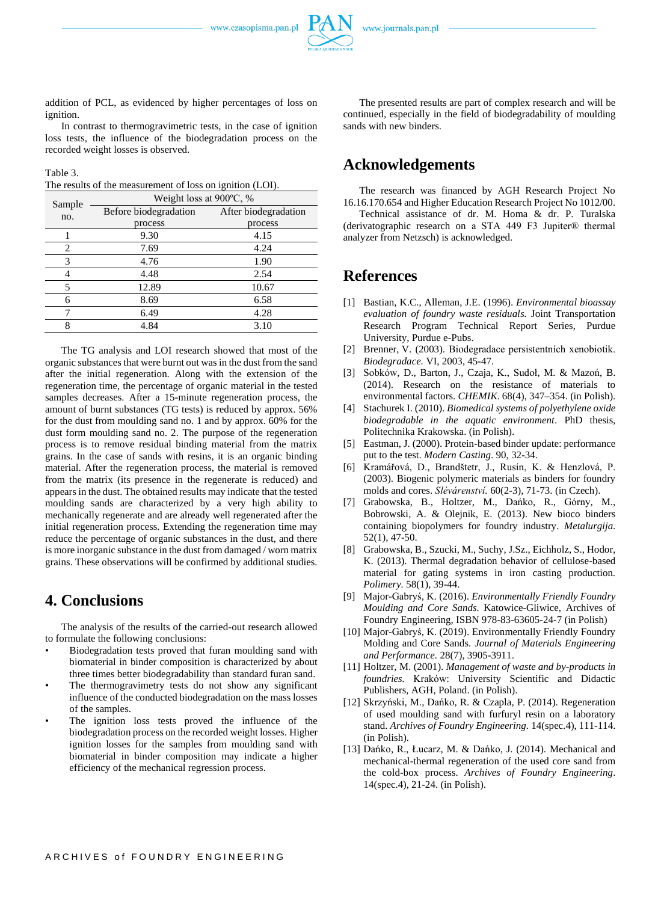

In contrast to thermogravimetric tests, in the case of ignition loss tests, the influence of the biodegradation process on the recorded weight losses is observed.

Table 3.

The results of the measurement of loss on ignition (LOI).

| Sample         | Weight loss at $900^{\circ}$ C, % |                      |  |
|----------------|-----------------------------------|----------------------|--|
| no.            | Before biodegradation             | After biodegradation |  |
|                | process                           | process              |  |
|                | 9.30                              | 4.15                 |  |
| $\overline{c}$ | 7.69                              | 4.24                 |  |
| 3              | 4.76                              | 1.90                 |  |
| 4              | 4.48                              | 2.54                 |  |
| 5              | 12.89                             | 10.67                |  |
| 6              | 8.69                              | 6.58                 |  |
|                | 6.49                              | 4.28                 |  |
| 8              | 4.84                              | 3.10                 |  |

The TG analysis and LOI research showed that most of the organic substances that were burnt out was in the dust from the sand after the initial regeneration. Along with the extension of the regeneration time, the percentage of organic material in the tested samples decreases. After a 15-minute regeneration process, the amount of burnt substances (TG tests) is reduced by approx. 56% for the dust from moulding sand no. 1 and by approx. 60% for the dust form moulding sand no. 2. The purpose of the regeneration process is to remove residual binding material from the matrix grains. In the case of sands with resins, it is an organic binding material. After the regeneration process, the material is removed from the matrix (its presence in the regenerate is reduced) and appears in the dust. The obtained results may indicate that the tested moulding sands are characterized by a very high ability to mechanically regenerate and are already well regenerated after the initial regeneration process. Extending the regeneration time may reduce the percentage of organic substances in the dust, and there is more inorganic substance in the dust from damaged / worn matrix grains. These observations will be confirmed by additional studies.

## **4. Conclusions**

The analysis of the results of the carried-out research allowed to formulate the following conclusions:

- Biodegradation tests proved that furan moulding sand with biomaterial in binder composition is characterized by about three times better biodegradability than standard furan sand.
- The thermogravimetry tests do not show any significant influence of the conducted biodegradation on the mass losses of the samples.
- The ignition loss tests proved the influence of the biodegradation process on the recorded weight losses. Higher ignition losses for the samples from moulding sand with biomaterial in binder composition may indicate a higher efficiency of the mechanical regression process.

The presented results are part of complex research and will be continued, especially in the field of biodegradability of moulding sands with new binders.

## **Acknowledgements**

The research was financed by AGH Research Project No 16.16.170.654 and Higher Education Research Project No 1012/00.

Technical assistance of dr. M. Homa & dr. P. Turalska (derivatographic research on a STA 449 F3 Jupiter® thermal analyzer from Netzsch) is acknowledged.

## **References**

- [1] Bastian, K.C., Alleman, J.E. (1996). *Environmental bioassay evaluation of foundry waste residuals.* Joint Transportation Research Program Technical Report Series, Purdue University, Purdue e-Pubs.
- [2] Brenner, V. (2003). Biodegradace persistentních xenobiotik. *Biodegradace.* VI, 2003, 45-47.
- [3] Sobków, D., Barton, J., Czaja, K., Sudoł, M. & Mazoń, B. (2014). Research on the resistance of materials to environmental factors. *CHEMIK*. 68(4), 347–354. (in Polish).
- [4] Stachurek I. (2010). *Biomedical systems of polyethylene oxide biodegradable in the aquatic environment*. PhD thesis, Politechnika Krakowska. (in Polish).
- [5] Eastman, J. (2000). Protein-based binder update: performance put to the test. *Modern Casting*. 90, 32-34.
- [6] Kramářová, D., Brandštetr, J., Rusín, K. & Henzlová, P. (2003). Biogenic polymeric materials as binders for foundry molds and cores. *Slévárenství.* 60(2-3), 71-73. (in Czech).
- [7] Grabowska, B., Holtzer, M., Dańko, R., Górny, M., Bobrowski, A. & Olejnik, E. (2013). New bioco binders containing biopolymers for foundry industry. *Metalurgija*. 52(1), 47-50.
- [8] Grabowska, B., Szucki, M., Suchy, J.Sz., Eichholz, S., Hodor, K. (2013). Thermal degradation behavior of cellulose-based material for gating systems in iron casting production. *Polimery.* 58(1), 39-44.
- [9] Major-Gabryś, K. (2016). *Environmentally Friendly Foundry Moulding and Core Sands.* Katowice-Gliwice, Archives of Foundry Engineering, ISBN 978-83-63605-24-7 (in Polish)
- [10] Major-Gabryś, K. (2019). Environmentally Friendly Foundry Molding and Core Sands. *Journal of Materials Engineering and Performance.* 28(7), 3905-3911.
- [11] Holtzer, M. (2001). *Management of waste and by-products in foundries.* Kraków: University Scientific and Didactic Publishers, AGH, Poland. (in Polish).
- [12] Skrzyński, M., Dańko, R. & Czapla, P. (2014). Regeneration of used moulding sand with furfuryl resin on a laboratory stand. *Archives of Foundry Engineering.* 14(spec.4), 111-114. (in Polish).
- [13] Dańko, R., Łucarz, M. & Dańko, J. (2014). Mechanical and mechanical-thermal regeneration of the used core sand from the cold-box process. *Archives of Foundry Engineering*. 14(spec.4), 21-24. (in Polish).